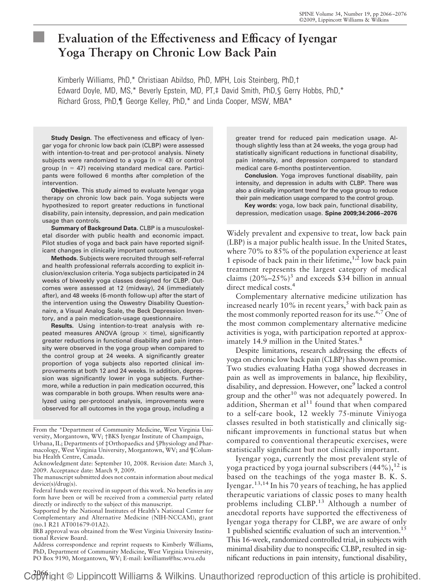# **Evaluation of the Effectiveness and Efficacy of Iyengar Yoga Therapy on Chronic Low Back Pain**

Kimberly Williams, PhD,\* Christiaan Abildso, PhD, MPH, Lois Steinberg, PhD,† Edward Doyle, MD, MS,\* Beverly Epstein, MD, PT,‡ David Smith, PhD,§ Gerry Hobbs, PhD,\* Richard Gross, PhD,¶ George Kelley, PhD,\* and Linda Cooper, MSW, MBA\*

**Study Design.** The effectiveness and efficacy of Iyengar yoga for chronic low back pain (CLBP) were assessed with intention-to-treat and per-protocol analysis. Ninety subjects were randomized to a yoga ( $n = 43$ ) or control group ( $n = 47$ ) receiving standard medical care. Participants were followed 6 months after completion of the intervention.

**Objective.** This study aimed to evaluate Iyengar yoga therapy on chronic low back pain. Yoga subjects were hypothesized to report greater reductions in functional disability, pain intensity, depression, and pain medication usage than controls.

**Summary of Background Data.** CLBP is a musculoskeletal disorder with public health and economic impact. Pilot studies of yoga and back pain have reported significant changes in clinically important outcomes.

**Methods.** Subjects were recruited through self-referral and health professional referrals according to explicit inclusion/exclusion criteria. Yoga subjects participated in 24 weeks of biweekly yoga classes designed for CLBP. Outcomes were assessed at 12 (midway), 24 (immediately after), and 48 weeks (6-month follow-up) after the start of the intervention using the Oswestry Disability Questionnaire, a Visual Analog Scale, the Beck Depression Inventory, and a pain medication-usage questionnaire.

**Results.** Using intention-to-treat analysis with repeated measures ANOVA (group  $\times$  time), significantly greater reductions in functional disability and pain intensity were observed in the yoga group when compared to the control group at 24 weeks. A significantly greater proportion of yoga subjects also reported clinical improvements at both 12 and 24 weeks. In addition, depression was significantly lower in yoga subjects. Furthermore, while a reduction in pain medication occurred, this was comparable in both groups. When results were analyzed using per-protocol analysis, improvements were observed for all outcomes in the yoga group, including a

From the \*Department of Community Medicine, West Virginia University, Morgantown, WV; †BKS Iyengar Institute of Champaign, Urbana, IL; Departments of ‡Orthopaedics and §Physiology and Pharmacology, West Virginia University, Morgantown, WV; and ¶Columbia Health Centre, Canada.

Federal funds were received in support of this work. No benefits in any form have been or will be received from a commercial party related directly or indirectly to the subject of this manuscript.

greater trend for reduced pain medication usage. Although slightly less than at 24 weeks, the yoga group had statistically significant reductions in functional disability, pain intensity, and depression compared to standard medical care 6-months postintervention.

**Conclusion.** Yoga improves functional disability, pain intensity, and depression in adults with CLBP. There was also a clinically important trend for the yoga group to reduce their pain medication usage compared to the control group.

**Key words:** yoga, low back pain, functional disability, depression, medication usage. **Spine 2009;34:2066 –2076**

Widely prevalent and expensive to treat, low back pain (LBP) is a major public health issue. In the United States, where 70% to 85% of the population experience at least 1 episode of back pain in their lifetime,  $1,2$  low back pain treatment represents the largest category of medical claims  $(20\%-25\%)^3$  and exceeds \$34 billion in annual direct medical costs.<sup>4</sup>

Complementary alternative medicine utilization has increased nearly 10% in recent years,<sup>5</sup> with back pain as the most commonly reported reason for its use.<sup>6,7</sup> One of the most common complementary alternative medicine activities is yoga, with participation reported at approximately 14.9 million in the United States.<sup>8</sup>

Despite limitations, research addressing the effects of yoga on chronic low back pain (CLBP) has shown promise. Two studies evaluating Hatha yoga showed decreases in pain as well as improvements in balance, hip flexibility, disability, and depression. However, one<sup>9</sup> lacked a control group and the other<sup>10</sup> was not adequately powered. In addition, Sherman et al $11$  found that when compared to a self-care book, 12 weekly 75-minute Viniyoga classes resulted in both statistically and clinically significant improvements in functional status but when compared to conventional therapeutic exercises, were statistically significant but not clinically important.

Iyengar yoga, currently the most prevalent style of yoga practiced by yoga journal subscribers  $(44\%),^{12}$  is based on the teachings of the yoga master B. K. S. Iyengar.<sup>13,14</sup> In his 70 years of teaching, he has applied therapeutic variations of classic poses to many health problems including CLBP.<sup>13</sup> Although a number of anecdotal reports have supported the effectiveness of Iyengar yoga therapy for CLBP, we are aware of only 1 published scientific evaluation of such an intervention.<sup>15</sup> This 16-week, randomized controlled trial, in subjects with minimal disability due to nonspecific CLBP, resulted in significant reductions in pain intensity, functional disability,

Acknowledgment date: September 10, 2008. Revision date: March 3, 2009. Acceptance date: March 9, 2009.

The manuscript submitted does not contain information about medical device(s)/drug(s).

Supported by the National Institutes of Health's National Center for Complementary and Alternative Medicine (NIH-NCCAM), grant (no.1 R21 AT001679-01A2).

IRB approval was obtained from the West Virginia University Institutional Review Board.

Address correspondence and reprint requests to Kimberly Williams, PhD, Department of Community Medicine, West Virginia University, PO Box 9190, Morgantown, WV; E-mail: kwilliams@hsc.wvu.edu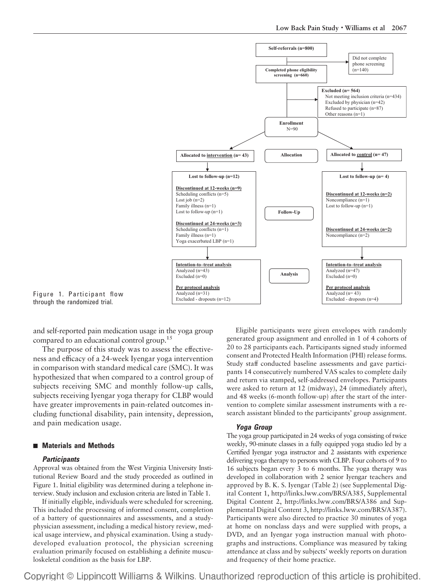

Figure 1. Participant flow through the randomized trial.

and self-reported pain medication usage in the yoga group compared to an educational control group.<sup>15</sup>

The purpose of this study was to assess the effectiveness and efficacy of a 24-week Iyengar yoga intervention in comparison with standard medical care (SMC). It was hypothesized that when compared to a control group of subjects receiving SMC and monthly follow-up calls, subjects receiving Iyengar yoga therapy for CLBP would have greater improvements in pain-related outcomes including functional disability, pain intensity, depression, and pain medication usage.

## ■ Materials and Methods

#### *Participants*

Approval was obtained from the West Virginia University Institutional Review Board and the study proceeded as outlined in Figure 1. Initial eligibility was determined during a telephone interview. Study inclusion and exclusion criteria are listed in Table 1.

If initially eligible, individuals were scheduled for screening. This included the processing of informed consent, completion of a battery of questionnaires and assessments, and a studyphysician assessment, including a medical history review, medical usage interview, and physical examination. Using a studydeveloped evaluation protocol, the physician screening evaluation primarily focused on establishing a definite musculoskeletal condition as the basis for LBP.

Eligible participants were given envelopes with randomly generated group assignment and enrolled in 1 of 4 cohorts of 20 to 28 participants each. Participants signed study informed consent and Protected Health Information (PHI) release forms. Study staff conducted baseline assessments and gave participants 14 consecutively numbered VAS scales to complete daily and return via stamped, self-addressed envelopes. Participants were asked to return at 12 (midway), 24 (immediately after), and 48 weeks (6-month follow-up) after the start of the intervention to complete similar assessment instruments with a research assistant blinded to the participants' group assignment.

#### *Yoga Group*

The yoga group participated in 24 weeks of yoga consisting of twice weekly, 90-minute classes in a fully equipped yoga studio led by a Certified Iyengar yoga instructor and 2 assistants with experience delivering yoga therapy to persons with CLBP. Four cohorts of 9 to 16 subjects began every 3 to 6 months. The yoga therapy was developed in collaboration with 2 senior Iyengar teachers and approved by B. K. S. Iyengar (Table 2) (see Supplemental Digital Content 1, http://links.lww.com/BRS/A385, Supplemental Digital Content 2, http://links.lww.com/BRS/A386 and Supplemental Digital Content 3, http://links.lww.com/BRS/A387). Participants were also directed to practice 30 minutes of yoga at home on nonclass days and were supplied with props, a DVD, and an Iyengar yoga instruction manual with photographs and instructions. Compliance was measured by taking attendance at class and by subjects' weekly reports on duration and frequency of their home practice.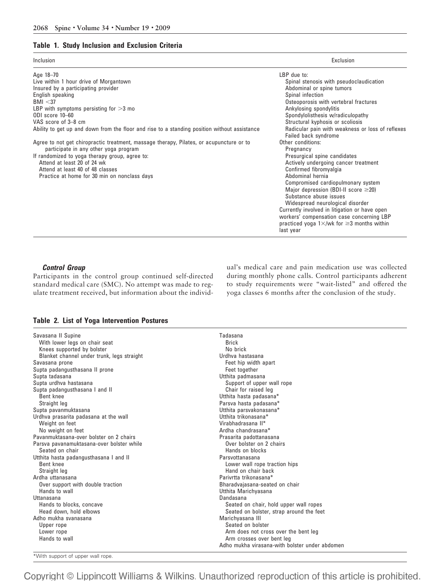## **Table 1. Study Inclusion and Exclusion Criteria**

| Inclusion                                                                                    | Exclusion                                                                                             |
|----------------------------------------------------------------------------------------------|-------------------------------------------------------------------------------------------------------|
| Age 18-70                                                                                    | TBP due to:                                                                                           |
| Live within 1 hour drive of Morgantown                                                       | Spinal stenosis with pseudoclaudication                                                               |
| Insured by a participating provider                                                          | Abdominal or spine tumors                                                                             |
| English speaking                                                                             | Spinal infection                                                                                      |
| BMI < 37                                                                                     | Osteoporosis with vertebral fractures                                                                 |
| LBP with symptoms persisting for $>3$ mo                                                     | Ankylosing spondylitis                                                                                |
| ODI score 10-60                                                                              | Spondylolisthesis w/radiculopathy                                                                     |
| VAS score of 3-8 cm                                                                          | Structural kyphosis or scoliosis                                                                      |
| Ability to get up and down from the floor and rise to a standing position without assistance | Radicular pain with weakness or loss of reflexes<br>Failed back syndrome                              |
| Agree to not get chiropractic treatment, massage therapy, Pilates, or acupuncture or to      | Other conditions:                                                                                     |
| participate in any other yoga program                                                        | Pregnancy                                                                                             |
| If randomized to yoga therapy group, agree to:                                               | Presurgical spine candidates                                                                          |
| Attend at least 20 of 24 wk                                                                  | Actively undergoing cancer treatment                                                                  |
| Attend at least 40 of 48 classes                                                             | Confirmed fibromyalgia                                                                                |
| Practice at home for 30 min on nonclass days                                                 | Abdominal hernia                                                                                      |
|                                                                                              | Compromised cardiopulmonary system                                                                    |
|                                                                                              | Major depression (BDI-II score $\geq$ 20)                                                             |
|                                                                                              | Substance abuse issues                                                                                |
|                                                                                              | Widespread neurological disorder                                                                      |
|                                                                                              | Currently involved in litigation or have open                                                         |
|                                                                                              | workers' compensation case concerning LBP<br>practiced yoga $1 \times$ /wk for $\geq 3$ months within |
|                                                                                              | last year                                                                                             |

## *Control Group*

Participants in the control group continued self-directed standard medical care (SMC). No attempt was made to regulate treatment received, but information about the individual's medical care and pain medication use was collected during monthly phone calls. Control participants adherent to study requirements were "wait-listed" and offered the yoga classes 6 months after the conclusion of the study.

## **Table 2. List of Yoga Intervention Postures**

| With lower legs on chair seat              |                                                |
|--------------------------------------------|------------------------------------------------|
|                                            | <b>Brick</b>                                   |
| Knees supported by bolster                 | No brick                                       |
| Blanket channel under trunk, legs straight | Urdhva hastasana                               |
| Savasana prone                             | Feet hip width apart                           |
| Supta padangusthasana II prone             | Feet together                                  |
| Supta tadasana                             | Utthita padmasana                              |
| Supta urdhva hastasana                     | Support of upper wall rope                     |
| Supta padangusthasana I and II             | Chair for raised leg                           |
| Bent knee                                  | Utthita hasta padasana*                        |
| Straight leg                               | Parsva hasta padasana*                         |
| Supta pavanmuktasana                       | Utthita parsvakonasana*                        |
| Urdhva prasarita padasana at the wall      | Utthita trikonasana*                           |
| Weight on feet                             | Virabhadrasana II*                             |
| No weight on feet                          | Ardha chandrasana*                             |
| Pavanmuktasana-over bolster on 2 chairs    | Prasarita padottanasana                        |
| Parsva pavanamuktasana-over bolster while  | Over bolster on 2 chairs                       |
| Seated on chair                            | Hands on blocks                                |
| Utthita hasta padangusthasana I and II     | Parsvottanasana                                |
| Bent knee                                  | Lower wall rope traction hips                  |
| Straight leg                               | Hand on chair back                             |
| Ardha uttanasana                           | Parivrtta trikonasana*                         |
| Over support with double traction          | Bharadvajasana-seated on chair                 |
| Hands to wall                              | Utthita Marichyasana                           |
| Uttanasana                                 | Dandasana                                      |
| Hands to blocks, concave                   | Seated on chair, hold upper wall ropes         |
| Head down, hold elbows                     | Seated on bolster, strap around the feet       |
| Adho mukha svanasana                       | Marichyasana III                               |
| Upper rope                                 | Seated on bolster                              |
| Lower rope                                 | Arm does not cross over the bent leg           |
| Hands to wall                              | Arm crosses over bent leg                      |
|                                            | Adho mukha virasana-with bolster under abdomen |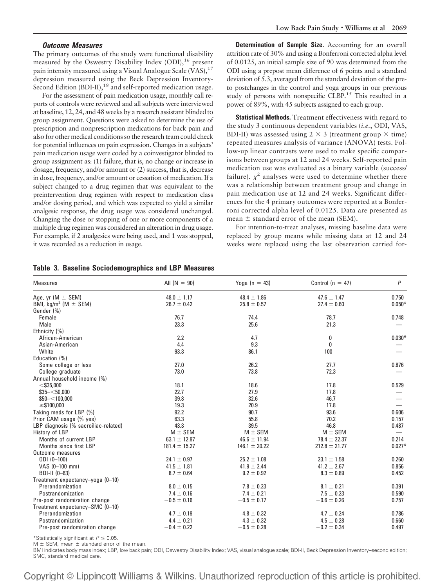#### *Outcome Measures*

The primary outcomes of the study were functional disability measured by the Oswestry Disability Index  $(ODI)$ ,  $^{16}$  present pain intensity measured using a Visual Analogue Scale  $(VAS)$ ,  $^{17}$ depression measured using the Beck Depression Inventory-Second Edition (BDI-II),<sup>18</sup> and self-reported medication usage.

For the assessment of pain medication usage, monthly call reports of controls were reviewed and all subjects were interviewed at baseline, 12, 24, and 48 weeks by a research assistant blinded to group assignment. Questions were asked to determine the use of prescription and nonprescription medications for back pain and also for other medical conditions so the research team could check for potential influences on pain expression. Changes in a subjects' pain medication usage were coded by a coinvestigator blinded to group assignment as: (1) failure, that is, no change or increase in dosage, frequency, and/or amount or (2) success, that is, decrease in dose, frequency, and/or amount or cessation of medication. If a subject changed to a drug regimen that was equivalent to the preintervention drug regimen with respect to medication class and/or dosing period, and which was expected to yield a similar analgesic response, the drug usage was considered unchanged. Changing the dose or stopping of one or more components of a multiple drug regimen was considered an alteration in drug usage. For example, if 2 analgesics were being used, and 1 was stopped, it was recorded as a reduction in usage.

#### **Table 3. Baseline Sociodemographics and LBP Measures**

**Determination of Sample Size.** Accounting for an overall attrition rate of 30% and using a Bonferroni corrected alpha level of 0.0125, an initial sample size of 90 was determined from the ODI using a prepost mean difference of 6 points and a standard deviation of 5.3, averaged from the standard deviation of the preto postchanges in the control and yoga groups in our previous study of persons with nonspecific CLBP.<sup>15</sup> This resulted in a power of 89%, with 45 subjects assigned to each group.

**Statistical Methods.** Treatment effectiveness with regard to the study 3 continuous dependent variables (*i.e.*, ODI, VAS, BDI-II) was assessed using  $2 \times 3$  (treatment group  $\times$  time) repeated measures analysis of variance (ANOVA) tests. Follow-up linear contrasts were used to make specific comparisons between groups at 12 and 24 weeks. Self-reported pain medication use was evaluated as a binary variable (success/ failure).  $\chi^2$  analyses were used to determine whether there was a relationship between treatment group and change in pain medication use at 12 and 24 weeks. Significant differences for the 4 primary outcomes were reported at a Bonferroni corrected alpha level of 0.0125. Data are presented as mean  $\pm$  standard error of the mean (SEM).

For intention-to-treat analyses, missing baseline data were replaced by group means while missing data at 12 and 24 weeks were replaced using the last observation carried for-

| Age, yr ( $M \pm$ SEM)<br>BMI, kg/m <sup>2</sup> (M $\pm$ SEM) | $48.0 \pm 1.17$<br>$26.7 \pm 0.42$ | $48.4 \pm 1.86$   | $47.6 \pm 1.47$   |          |
|----------------------------------------------------------------|------------------------------------|-------------------|-------------------|----------|
|                                                                |                                    |                   |                   | 0.750    |
|                                                                |                                    | $25.8 \pm 0.57$   | $27.4 \pm 0.60$   | $0.050*$ |
| Gender (%)                                                     |                                    |                   |                   |          |
| Female                                                         | 76.7                               | 74.4              | 78.7              | 0.748    |
| Male                                                           | 23.3                               | 25.6              | 21.3              |          |
| Ethnicity (%)                                                  |                                    |                   |                   |          |
| African-American                                               | 2.2                                | 4.7               | 0                 | $0.030*$ |
| Asian-American                                                 | 4.4                                | 9.3               | 0                 |          |
| White                                                          | 93.3                               | 86.1              | 100               |          |
| Education (%)                                                  |                                    |                   |                   |          |
| Some college or less                                           | 27.0                               | 26.2              | 27.7              | 0.876    |
| College graduate                                               | 73.0                               | 73.8              | 72.3              |          |
| Annual household income (%)                                    |                                    |                   |                   |          |
| $<$ \$35,000                                                   | 18.1                               | 18.6              | 17.8              | 0.529    |
| $$35 - < 50,000$                                               | 22.7                               | 27.9              | 17.8              |          |
| $$50-<100,000$                                                 | 39.8                               | 32.6              | 46.7              |          |
| $\geq$ \$100,000                                               | 19.3                               | 20.9              | 17.8              |          |
| Taking meds for LBP (%)                                        | 92.2                               | 90.7              | 93.6              | 0.606    |
| Prior CAM usage (% yes)                                        | 63.3                               | 55.8              | 70.2              | 0.157    |
| LBP diagnosis (% sacroiliac-related)                           | 43.3                               | 39.5              | 46.8              | 0.487    |
| History of LBP                                                 | $M \pm$ SEM                        | $M \pm$ SEM       | $M \pm$ SEM       |          |
| Months of current LBP                                          | $63.1 \pm 12.97$                   | $46.6 \pm 11.94$  | $78.4 \pm 22.37$  | 0.214    |
| Months since first LBP                                         | $181.4 \pm 15.27$                  | $146.1 \pm 20.22$ | $212.8 \pm 21.77$ | $0.027*$ |
| Outcome measures                                               |                                    |                   |                   |          |
| $ODI (0-100)$                                                  | $24.1 \pm 0.97$                    | $25.2 \pm 1.08$   | $23.1 \pm 1.58$   | 0.260    |
| VAS (0-100 mm)                                                 | $41.5 \pm 1.81$                    | $41.9 \pm 2.44$   | $41.2 \pm 2.67$   | 0.856    |
| BDI-II (0-63)                                                  | $8.7 \pm 0.64$                     | $9.2 \pm 0.92$    | $8.3 \pm 0.89$    | 0.452    |
| Treatment expectancy-yoga (0-10)                               |                                    |                   |                   |          |
| Prerandomization                                               | $8.0 \pm 0.15$                     | $7.8 \pm 0.23$    | $8.1 \pm 0.21$    | 0.391    |
| Postrandomization                                              | $7.4 \pm 0.16$                     | $7.4 \pm 0.21$    | $7.5 \pm 0.23$    | 0.590    |
| Pre-post randomization change                                  | $-0.5 \pm 0.16$                    | $-0.5 \pm 0.17$   | $-0.6 \pm 0.26$   | 0.757    |
| Treatment expectancy-SMC (0-10)                                |                                    |                   |                   |          |
| Prerandomization                                               | $4.7 \pm 0.19$                     | $4.8 \pm 0.32$    | $4.7 \pm 0.24$    | 0.786    |
| Postrandomization                                              | $4.4 \pm 0.21$                     | $4.3 \pm 0.32$    | $4.5 \pm 0.28$    | 0.660    |
| Pre-post randomization change                                  | $-0.4 \pm 0.22$                    | $-0.5 \pm 0.28$   | $-0.2 \pm 0.34$   | 0.497    |

\*Statistically significant at  $P \leq 0.05$ .

 $M \pm$  SEM, mean  $\pm$  standard error of the mean.

BMI indicates body mass index; LBP, low back pain; ODI, Oswestry Disability Index; VAS, visual analogue scale; BDI-II, Beck Depression Inventory–second edition; SMC, standard medical care.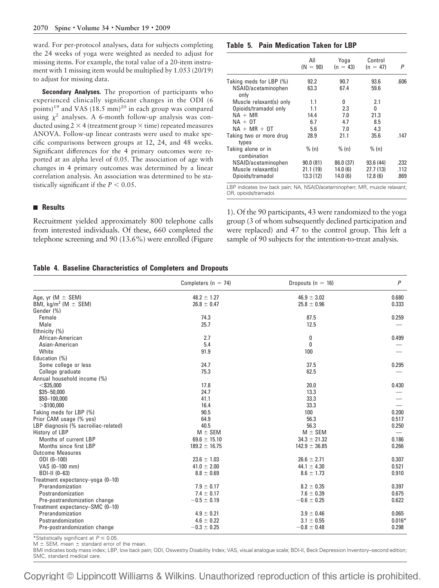ward. For per-protocol analyses, data for subjects completing the 24 weeks of yoga were weighted as needed to adjust for missing items. For example, the total value of a 20-item instrument with 1 missing item would be multiplied by 1.053 (20/19) to adjust for missing data.

**Secondary Analyses.** The proportion of participants who experienced clinically significant changes in the ODI (6 points)<sup>19</sup> and VAS (18.5 mm)<sup>20</sup> in each group was compared using  $\chi^2$  analyses. A 6-month follow-up analysis was conducted using 2  $\times$  4 (treatment group  $\times$  time) repeated measures ANOVA. Follow-up linear contrasts were used to make specific comparisons between groups at 12, 24, and 48 weeks. Significant differences for the 4 primary outcomes were reported at an alpha level of 0.05. The association of age with changes in 4 primary outcomes was determined by a linear correlation analysis. An association was determined to be statistically significant if the  $P < 0.05$ .

## **Results**

Recruitment yielded approximately 800 telephone calls from interested individuals. Of these, 660 completed the telephone screening and 90 (13.6%) were enrolled (Figure

## **Table 5. Pain Medication Taken for LBP**

|                                   | All<br>$(N = 90)$ | Yoga<br>$(n = 43)$ | Control<br>$(n = 47)$ | P    |
|-----------------------------------|-------------------|--------------------|-----------------------|------|
| Taking meds for LBP (%)           | 92.2              | 90.7               | 93.6                  | .606 |
| NSAID/acetaminophen<br>only       | 63.3              | 67.4               | 59.6                  |      |
| Muscle relaxant(s) only           | 1.1               | 0                  | 2.1                   |      |
| Opioids/tramadol only             | 1.1               | 2.3                | 0                     |      |
| $NA + MR$                         | 14.4              | 7.0                | 21.3                  |      |
| $NA + OT$                         | 6.7               | 4.7                | 8.5                   |      |
| $NA + MR + OT$                    | 5.6               | 7.0                | 4.3                   |      |
| Taking two or more drug<br>types  | 28.9              | 21.1               | 35.6                  | .147 |
| Taking alone or in<br>combination | % (n)             | % (n)              | % (n)                 |      |
| NSAID/acetaminophen               | 90.0(81)          | 86.0 (37)          | 93.6(44)              | .232 |
| Muscle relaxant(s)                | 21.1(19)          | 14.0(6)            | 27.7(13)              | .112 |
| Opioids/tramadol                  | 13.3(12)          | 14.0(6)            | 12.8(6)               | .869 |

LBP indicates low back pain; NA, NSAID/acetaminophen; MR, muscle relaxant; OR, opioids/tramadol.

1). Of the 90 participants, 43 were randomized to the yoga group (3 of whom subsequently declined participation and were replaced) and 47 to the control group. This left a sample of 90 subjects for the intention-to-treat analysis.

#### **Table 4. Baseline Characteristics of Completers and Dropouts**

|                                      | Completers ( $n = 74$ ) | Dropouts ( $n = 16$ ) | $\overline{P}$ |
|--------------------------------------|-------------------------|-----------------------|----------------|
| Age, yr $(M \pm SEM)$                | $48.2 \pm 1.27$         | $46.9 \pm 3.02$       | 0.680          |
| BMI, kg/m <sup>2</sup> (M $\pm$ SEM) | $26.8 \pm 0.47$         | $25.8 \pm 0.96$       | 0.333          |
| Gender (%)                           |                         |                       |                |
| Female                               | 74.3                    | 87.5                  | 0.259          |
| Male                                 | 25.7                    | 12.5                  |                |
| Ethnicity (%)                        |                         |                       |                |
| African-American                     | 2.7                     | 0                     | 0.499          |
| Asian-American                       | 5.4                     | 0                     |                |
| White                                | 91.9                    | 100                   |                |
| Education (%)                        |                         |                       |                |
| Some college or less                 | 24.7                    | 37.5                  | 0.295          |
| College graduate                     | 75.3                    | 62.5                  |                |
| Annual household income (%)          |                         |                       |                |
| $<$ \$35,000                         | 17.8                    | 20.0                  | 0.430          |
| $$35 - 50,000$                       | 24.7                    | 13.3                  |                |
| \$50-100,000                         | 41.1                    | 33.3                  |                |
| $>\$100,000$                         | 16.4                    | 33.3                  |                |
| Taking meds for LBP (%)              | 90.5                    | 100                   | 0.200          |
| Prior CAM usage (% yes)              | 64.9                    | 56.3                  | 0.517          |
| LBP diagnosis (% sacroiliac-related) | 40.5                    | 56.3                  | 0.250          |
| History of LBP                       | $M \pm$ SEM             | $M \pm$ SEM           |                |
| Months of current LBP                | $69.6 \pm 15.10$        | $34.3 \pm 21.32$      | 0.186          |
| Months since first LBP               | $189.2 \pm 16.75$       | $142.9 \pm 36.85$     | 0.266          |
| <b>Outcome Measures</b>              |                         |                       |                |
| $ODI (0-100)$                        | $23.6 \pm 1.03$         | $26.6 \pm 2.71$       | 0.307          |
| VAS (0-100 mm)                       | $41.0 \pm 2.00$         | $44.1 \pm 4.30$       | 0.521          |
| BDI-II (0-63)                        | $8.8 \pm 0.69$          | $8.6 \pm 1.73$        | 0.910          |
| Treatment expectancy-yoga (0-10)     |                         |                       |                |
| Prerandomization                     | $7.9 \pm 0.17$          | $8.2 \pm 0.35$        | 0.397          |
| Postrandomization                    | $7.4 \pm 0.17$          | $7.6 \pm 0.39$        | 0.675          |
| Pre-postrandomization change         | $-0.5 \pm 0.19$         | $-0.6 \pm 0.25$       | 0.622          |
| Treatment expectancy-SMC (0-10)      |                         |                       |                |
| Prerandomization                     | $4.9 \pm 0.21$          | $3.9 \pm 0.46$        | 0.065          |
| Postrandomization                    | $4.6 \pm 0.22$          | $3.1 \pm 0.55$        | $0.016*$       |
| Pre-postrandomization change         | $-0.3 \pm 0.25$         | $-0.8 \pm 0.48$       | 0.298          |

\*Statistically significant at  $P \leq 0.05$ .

 $M \pm$  SEM, mean  $\pm$  standard error of the mean.

BMI indicates body mass index; LBP, low back pain; ODI, Oswestry Disability Index; VAS, visual analogue scale; BDI-II, Beck Depression Inventory–second edition; SMC, standard medical care.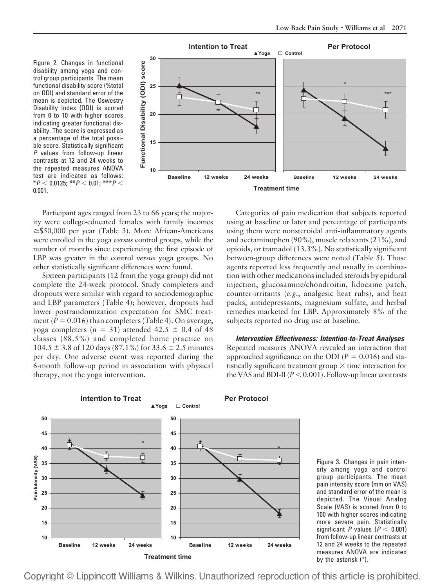Figure 2. Changes in functional disability among yoga and control group participants. The mean functional disability score (%total on ODI) and standard error of the mean is depicted. The Oswestry Disability Index (ODI) is scored from 0 to 10 with higher scores indicating greater functional disability. The score is expressed as a percentage of the total possible score. Statistically significant *P* values from follow-up linear contrasts at 12 and 24 weeks to the repeated measures ANOVA test are indicated as follows:  $*P$  < 0.0125;  $*P$  < 0.01;  $**P$  < 0.001.



Participant ages ranged from 23 to 66 years; the majority were college-educated females with family incomes  $\geq$ \$50,000 per year (Table 3). More African-Americans were enrolled in the yoga *versus* control groups, while the number of months since experiencing the first episode of LBP was greater in the control *versus* yoga groups. No other statistically significant differences were found.

Sixteen participants (12 from the yoga group) did not complete the 24-week protocol. Study completers and dropouts were similar with regard to sociodemographic and LBP parameters (Table 4); however, dropouts had lower postrandomization expectation for SMC treatment ( $P = 0.016$ ) than completers (Table 4). On average, yoga completers (n = 31) attended 42.5  $\pm$  0.4 of 48 classes (88.5%) and completed home practice on  $104.5 \pm 3.8$  of 120 days (87.1%) for 33.6  $\pm$  2.5 minutes per day. One adverse event was reported during the 6-month follow-up period in association with physical therapy, not the yoga intervention.

Categories of pain medication that subjects reported using at baseline or later and percentage of participants using them were nonsteroidal anti-inflammatory agents and acetaminophen (90%), muscle relaxants (21%), and opioids, or tramadol (13.3%). No statistically significant between-group differences were noted (Table 5). Those agents reported less frequently and usually in combination with other medications included steroids by epidural injection, glucosamine/chondroitin, lidocaine patch, counter-irritants (*e.g.*, analgesic heat rubs), and heat packs, antidepressants, magnesium sulfate, and herbal remedies marketed for LBP. Approximately 8% of the subjects reported no drug use at baseline.

Repeated measures ANOVA revealed an interaction that approached significance on the ODI ( $P = 0.016$ ) and statistically significant treatment group  $\times$  time interaction for the VAS and BDI-II ( $P < 0.001$ ). Follow-up linear contrasts



Figure 3. Changes in pain intensity among yoga and control group participants. The mean pain intensity score (mm on VAS) and standard error of the mean is depicted. The Visual Analog Scale (VAS) is scored from 0 to 100 with higher scores indicating more severe pain. Statistically significant *P* values ( $P < 0.001$ ) from follow-up linear contrasts at 12 and 24 weeks to the repeated measures ANOVA are indicated by the asterisk (\*).

*Intervention Effectiveness: Intention-to-Treat Analyses*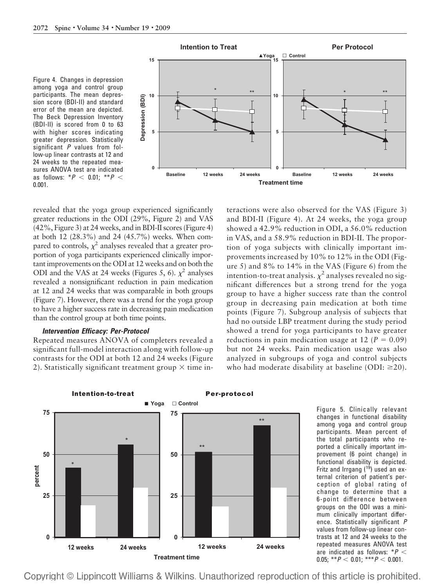Figure 4. Changes in depression among yoga and control group participants. The mean depression score (BDI-II) and standard error of the mean are depicted. The Beck Depression Inventory (BDI-II) is scored from 0 to 63 with higher scores indicating greater depression. Statistically significant *P* values from follow-up linear contrasts at 12 and 24 weeks to the repeated measures ANOVA test are indicated as follows:  $*P < 0.01$ ;  $**P <$ 0.001.



revealed that the yoga group experienced significantly greater reductions in the ODI (29%, Figure 2) and VAS (42%, Figure 3) at 24 weeks, and in BDI-II scores (Figure 4) at both 12 (28.3%) and 24 (45.7%) weeks. When compared to controls,  $\chi^2$  analyses revealed that a greater proportion of yoga participants experienced clinically important improvements on the ODI at 12 weeks and on both the ODI and the VAS at 24 weeks (Figures 5, 6).  $\chi^2$  analyses revealed a nonsignificant reduction in pain medication at 12 and 24 weeks that was comparable in both groups (Figure 7). However, there was a trend for the yoga group to have a higher success rate in decreasing pain medication than the control group at both time points.

## *Intervention Efficacy: Per-Protocol*

Repeated measures ANOVA of completers revealed a significant full-model interaction along with follow-up contrasts for the ODI at both 12 and 24 weeks (Figure 2). Statistically significant treatment group  $\times$  time interactions were also observed for the VAS (Figure 3) and BDI-II (Figure 4). At 24 weeks, the yoga group showed a 42.9% reduction in ODI, a 56.0% reduction in VAS, and a 58.9% reduction in BDI-II. The proportion of yoga subjects with clinically important improvements increased by 10% to 12% in the ODI (Figure 5) and 8% to 14% in the VAS (Figure 6) from the intention-to-treat analysis.  $\chi^2$  analyses revealed no significant differences but a strong trend for the yoga group to have a higher success rate than the control group in decreasing pain medication at both time points (Figure 7). Subgroup analysis of subjects that had no outside LBP treatment during the study period showed a trend for yoga participants to have greater reductions in pain medication usage at 12 ( $P = 0.09$ ) but not 24 weeks. Pain medication usage was also analyzed in subgroups of yoga and control subjects who had moderate disability at baseline (ODI:  $\geq 20$ ).



Figure 5. Clinically relevant changes in functional disability among yoga and control group participants. Mean percent of the total participants who reported a clinically important improvement (6 point change) in functional disability is depicted. Fritz and Irrgang  $(1<sup>9</sup>)$  used an external criterion of patient's perception of global rating of change to determine that a 6-point difference between groups on the ODI was a minimum clinically important difference. Statistically significant *P* values from follow-up linear contrasts at 12 and 24 weeks to the repeated measures ANOVA test are indicated as follows: \**P* 0.05; \*\* $P < 0.01$ ; \*\*\* $P < 0.001$ .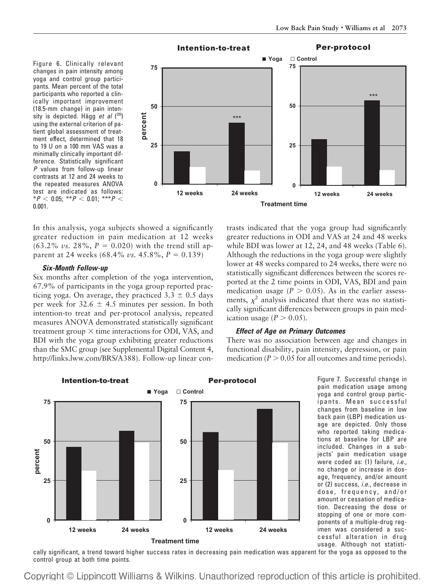Figure 6. Clinically relevant changes in pain intensity among yoga and control group participants. Mean percent of the total participants who reported a clinically important improvement (18.5-mm change) in pain intensity is depicted. Hägg et al (<sup>20</sup>) using the external criterion of patient global assessment of treatment effect, determined that 18 to 19 U on a 100 mm VAS was a minimally clinically important difference. Statistically significant *P* values from follow-up linear contrasts at 12 and 24 weeks to the repeated measures ANOVA test are indicated as follows:  $*P$  < 0.05;  $*P$  < 0.01;  $**P$  < 0.001.



In this analysis, yoga subjects showed a significantly greater reduction in pain medication at 12 weeks  $(63.2\% \text{ vs. } 28\%, P = 0.020)$  with the trend still apparent at 24 weeks  $(68.4\% \text{ vs. } 45.8\%, P = 0.139)$ 

#### *Six-Month Follow-up*

Six months after completion of the yoga intervention, 67.9% of participants in the yoga group reported practicing yoga. On average, they practiced  $3.3 \pm 0.5$  days per week for  $32.6 \pm 4.5$  minutes per session. In both intention-to treat and per-protocol analysis, repeated measures ANOVA demonstrated statistically significant treatment group  $\times$  time interactions for ODI, VAS, and BDI with the yoga group exhibiting greater reductions than the SMC group (see Supplemental Digital Content 4, http://links.lww.com/BRS/A388). Follow-up linear con-

trasts indicated that the yoga group had significantly greater reductions in ODI and VAS at 24 and 48 weeks while BDI was lower at 12, 24, and 48 weeks (Table 6). Although the reductions in the yoga group were slightly lower at 48 weeks compared to 24 weeks, there were no statistically significant differences between the scores reported at the 2 time points in ODI, VAS, BDI and pain medication usage  $(P > 0.05)$ . As in the earlier assessments,  $\chi^2$  analysis indicated that there was no statistically significant differences between groups in pain medication usage  $(P > 0.05)$ .

## *Effect of Age on Primary Outcomes*

There was no association between age and changes in functional disability, pain intensity, depression, or pain medication ( $P > 0.05$  for all outcomes and time periods).



Figure 7. Successful change in pain medication usage among yoga and control group participants. Mean successful changes from baseline in low back pain (LBP) medication usage are depicted. Only those who reported taking medications at baseline for LBP are included. Changes in a subjects' pain medication usage were coded as: (1) failure, *i.e.*, no change or increase in dosage, frequency, and/or amount or (2) success, *i.e.*, decrease in dose, frequency, and/or amount or cessation of medication. Decreasing the dose or stopping of one or more components of a multiple-drug regimen was considered a successful alteration in drug usage. Although not statisti-

-usage. Although not statisti<br>cally significant, a trend toward higher success rates in decreasing pain medication was apparent for the yoga as opposed to the control group at both time points.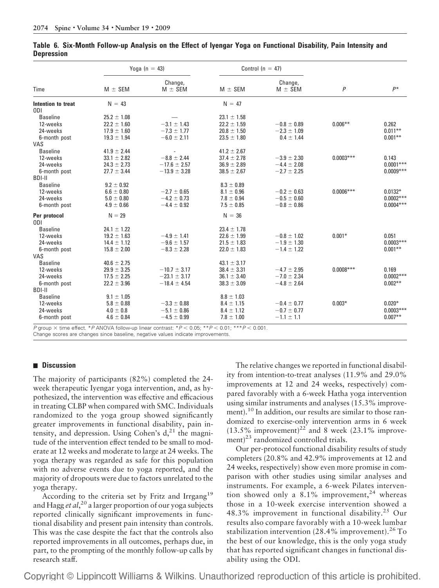| $M \pm$ SEM     | Change,<br>$M \pm$ SEM                                                                                                                                                 | $M \pm$ SEM                                                                                                                                             | Change,<br>$M \pm$ SEM                                                                                                                                                 | $\overline{P}$                                                                                                                       | $P^*$                   |
|-----------------|------------------------------------------------------------------------------------------------------------------------------------------------------------------------|---------------------------------------------------------------------------------------------------------------------------------------------------------|------------------------------------------------------------------------------------------------------------------------------------------------------------------------|--------------------------------------------------------------------------------------------------------------------------------------|-------------------------|
| $N = 43$        |                                                                                                                                                                        | $N = 47$                                                                                                                                                |                                                                                                                                                                        |                                                                                                                                      |                         |
|                 |                                                                                                                                                                        |                                                                                                                                                         |                                                                                                                                                                        |                                                                                                                                      |                         |
| $25.2 \pm 1.08$ |                                                                                                                                                                        | $23.1 \pm 1.58$                                                                                                                                         |                                                                                                                                                                        |                                                                                                                                      |                         |
| $22.2 \pm 1.60$ | $-3.1 \pm 1.43$                                                                                                                                                        | $22.2 \pm 1.59$                                                                                                                                         | $-0.8 \pm 0.89$                                                                                                                                                        | $0.006***$                                                                                                                           | 0.262                   |
| $17.9 \pm 1.60$ | $-7.3 \pm 1.77$                                                                                                                                                        | $20.8 \pm 1.50$                                                                                                                                         | $-2.3 \pm 1.09$                                                                                                                                                        |                                                                                                                                      | $0.011**$               |
| $19.3 \pm 1.94$ | $-6.0 \pm 2.11$                                                                                                                                                        | $23.5 \pm 1.80$                                                                                                                                         | $0.4 \pm 1.44$                                                                                                                                                         |                                                                                                                                      | $0.001**$               |
|                 |                                                                                                                                                                        |                                                                                                                                                         |                                                                                                                                                                        |                                                                                                                                      |                         |
| $41.9 \pm 2.44$ |                                                                                                                                                                        | $41.2 \pm 2.67$                                                                                                                                         |                                                                                                                                                                        |                                                                                                                                      |                         |
| $33.1 \pm 2.82$ |                                                                                                                                                                        | $37.4 \pm 2.78$                                                                                                                                         | $-3.9 \pm 2.30$                                                                                                                                                        | $0.0003***$                                                                                                                          | 0.143                   |
| $24.3 \pm 2.73$ | $-17.6 \pm 2.57$                                                                                                                                                       | $36.9 \pm 2.89$                                                                                                                                         | $-4.4 \pm 2.08$                                                                                                                                                        |                                                                                                                                      | $0.0001***$             |
| $27.7 \pm 3.44$ | $-13.9 \pm 3.28$                                                                                                                                                       | $38.5 \pm 2.67$                                                                                                                                         | $-2.7 \pm 2.25$                                                                                                                                                        |                                                                                                                                      | $0.0009***$             |
|                 |                                                                                                                                                                        |                                                                                                                                                         |                                                                                                                                                                        |                                                                                                                                      |                         |
| $9.2 \pm 0.92$  |                                                                                                                                                                        | $8.3 \pm 0.89$                                                                                                                                          |                                                                                                                                                                        |                                                                                                                                      |                         |
| $6.6 \pm 0.80$  | $-2.7 \pm 0.65$                                                                                                                                                        | $8.1 \pm 0.96$                                                                                                                                          | $-0.2 \pm 0.63$                                                                                                                                                        | $0.0006***$                                                                                                                          | $0.0132*$               |
| $5.0 \pm 0.80$  | $-4.2 \pm 0.73$                                                                                                                                                        | $7.8 \pm 0.94$                                                                                                                                          | $-0.5 \pm 0.60$                                                                                                                                                        |                                                                                                                                      | $0.0002***$             |
| $4.9 \pm 0.66$  | $-4.4 \pm 0.92$                                                                                                                                                        | $7.5 \pm 0.85$                                                                                                                                          | $-0.8 \pm 0.86$                                                                                                                                                        |                                                                                                                                      | $0.0004***$             |
| $N = 29$        |                                                                                                                                                                        | $N = 36$                                                                                                                                                |                                                                                                                                                                        |                                                                                                                                      |                         |
|                 |                                                                                                                                                                        |                                                                                                                                                         |                                                                                                                                                                        |                                                                                                                                      |                         |
|                 |                                                                                                                                                                        |                                                                                                                                                         |                                                                                                                                                                        |                                                                                                                                      |                         |
|                 |                                                                                                                                                                        |                                                                                                                                                         |                                                                                                                                                                        |                                                                                                                                      | 0.051                   |
|                 |                                                                                                                                                                        |                                                                                                                                                         |                                                                                                                                                                        |                                                                                                                                      | $0.0003***$             |
|                 |                                                                                                                                                                        |                                                                                                                                                         |                                                                                                                                                                        |                                                                                                                                      | $0.001**$               |
|                 |                                                                                                                                                                        |                                                                                                                                                         |                                                                                                                                                                        |                                                                                                                                      |                         |
|                 |                                                                                                                                                                        |                                                                                                                                                         |                                                                                                                                                                        |                                                                                                                                      |                         |
|                 |                                                                                                                                                                        |                                                                                                                                                         |                                                                                                                                                                        |                                                                                                                                      | 0.169                   |
|                 |                                                                                                                                                                        |                                                                                                                                                         |                                                                                                                                                                        |                                                                                                                                      | $0.0002***$             |
|                 |                                                                                                                                                                        |                                                                                                                                                         |                                                                                                                                                                        |                                                                                                                                      | $0.002**$               |
|                 |                                                                                                                                                                        |                                                                                                                                                         |                                                                                                                                                                        |                                                                                                                                      |                         |
|                 |                                                                                                                                                                        |                                                                                                                                                         |                                                                                                                                                                        |                                                                                                                                      |                         |
| $5.8 \pm 0.88$  | $-3.3 \pm 0.88$                                                                                                                                                        | $8.4 \pm 1.15$                                                                                                                                          | $-0.4 \pm 0.77$                                                                                                                                                        | $0.003*$                                                                                                                             | $0.020*$                |
| $4.0 \pm 0.8$   | $-5.1 \pm 0.86$                                                                                                                                                        | $8.4 \pm 1.12$                                                                                                                                          | $-0.7 \pm 0.77$                                                                                                                                                        |                                                                                                                                      | $0.0003***$             |
| $4.6 \pm 0.84$  | $-4.5 \pm 0.99$                                                                                                                                                        | $7.8 \pm 1.00$                                                                                                                                          | $-1.1 \pm 1.1$                                                                                                                                                         |                                                                                                                                      | $0.007**$               |
|                 | $24.1 \pm 1.22$<br>$19.2 \pm 1.63$<br>$14.4 \pm 1.12$<br>$15.8 \pm 2.00$<br>$40.6 \pm 2.75$<br>$29.9 \pm 3.25$<br>$17.5 \pm 2.25$<br>$22.2 \pm 3.96$<br>$9.1 \pm 1.05$ | Yoga $(n = 43)$<br>$-8.8 \pm 2.44$<br>$-4.9 \pm 1.41$<br>$-9.6 \pm 1.57$<br>$-8.3 \pm 2.28$<br>$-10.7 \pm 3.17$<br>$-23.1 \pm 3.17$<br>$-18.4 \pm 4.54$ | $23.4 \pm 1.78$<br>$22.6 \pm 1.99$<br>$21.5 \pm 1.83$<br>$22.0 \pm 1.83$<br>$43.1 \pm 3.17$<br>$38.4 \pm 3.31$<br>$36.1 \pm 3.40$<br>$38.3 \pm 3.09$<br>$8.8 \pm 1.03$ | Control $(n = 47)$<br>$-0.8 \pm 1.02$<br>$-1.9 \pm 1.30$<br>$-1.4 \pm 1.22$<br>$-4.7 \pm 2.95$<br>$-7.0 \pm 2.34$<br>$-4.8 \pm 2.64$ | $0.001*$<br>$0.0008***$ |

|                   | Table 6. Six-Month Follow-up Analysis on the Effect of Iyengar Yoga on Functional Disability, Pain Intensity and |  |  |  |  |  |  |
|-------------------|------------------------------------------------------------------------------------------------------------------|--|--|--|--|--|--|
| <b>Depression</b> |                                                                                                                  |  |  |  |  |  |  |

 $P$  group  $\times$ time effect. \**P* ANOVA follow-up linear contrast: \**P* 0.05; \*\**P* 0.01; \*\*\**P* 0.001.

Change scores are changes since baseline, negative values indicate improvements.

# **Discussion**

The majority of participants (82%) completed the 24 week therapeutic Iyengar yoga intervention, and, as hypothesized, the intervention was effective and efficacious in treating CLBP when compared with SMC. Individuals randomized to the yoga group showed significantly greater improvements in functional disability, pain intensity, and depression. Using Cohen's  $d<sub>1</sub><sup>21</sup>$  the magnitude of the intervention effect tended to be small to moderate at 12 weeks and moderate to large at 24 weeks. The yoga therapy was regarded as safe for this population with no adverse events due to yoga reported, and the majority of dropouts were due to factors unrelated to the yoga therapy.

According to the criteria set by Fritz and Irrgang<sup>19</sup> and Hagg *et al*, <sup>20</sup> a larger proportion of our yoga subjects reported clinically significant improvements in functional disability and present pain intensity than controls. This was the case despite the fact that the controls also reported improvements in all outcomes, perhaps due, in part, to the prompting of the monthly follow-up calls by research staff.

The relative changes we reported in functional disability from intention-to-treat analyses (11.9% and 29.0% improvements at 12 and 24 weeks, respectively) compared favorably with a 6-week Hatha yoga intervention using similar instruments and analyses (15.3% improvement).<sup>10</sup> In addition, our results are similar to those randomized to exercise-only intervention arms in 6 week  $(13.5\%$  improvement)<sup>22</sup> and 8 week (23.1% improvement)<sup>23</sup> randomized controlled trials.

Our per-protocol functional disability results of study completers (20.8% and 42.9% improvements at 12 and 24 weeks, respectively) show even more promise in comparison with other studies using similar analyses and instruments. For example, a 6-week Pilates intervention showed only a  $8.1\%$  improvement,<sup>24</sup> whereas those in a 10-week exercise intervention showed a 48.3% improvement in functional disability.<sup>25</sup> Our results also compare favorably with a 10-week lumbar stabilization intervention  $(28.4\%$  improvement).<sup>26</sup> To the best of our knowledge, this is the only yoga study that has reported significant changes in functional disability using the ODI.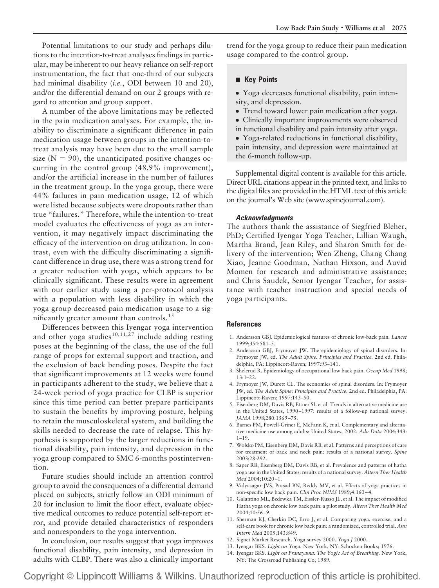Potential limitations to our study and perhaps dilutions to the intention-to-treat analyses findings in particular, may be inherent to our heavy reliance on self-report instrumentation, the fact that one-third of our subjects had minimal disability (*i.e.*, ODI between 10 and 20), and/or the differential demand on our 2 groups with regard to attention and group support.

A number of the above limitations may be reflected in the pain medication analyses. For example, the inability to discriminate a significant difference in pain medication usage between groups in the intention-totreat analysis may have been due to the small sample size  $(N = 90)$ , the unanticipated positive changes occurring in the control group (48.9% improvement), and/or the artificial increase in the number of failures in the treatment group. In the yoga group, there were 44% failures in pain medication usage, 12 of which were listed because subjects were dropouts rather than true "failures." Therefore, while the intention-to-treat model evaluates the effectiveness of yoga as an intervention, it may negatively impact discriminating the efficacy of the intervention on drug utilization. In contrast, even with the difficulty discriminating a significant difference in drug use, there was a strong trend for a greater reduction with yoga, which appears to be clinically significant. These results were in agreement with our earlier study using a per-protocol analysis with a population with less disability in which the yoga group decreased pain medication usage to a significantly greater amount than controls.<sup>15</sup>

Differences between this Iyengar yoga intervention and other yoga studies<sup>10,11,27</sup> include adding resting poses at the beginning of the class, the use of the full range of props for external support and traction, and the exclusion of back bending poses. Despite the fact that significant improvements at 12 weeks were found in participants adherent to the study, we believe that a 24-week period of yoga practice for CLBP is superior since this time period can better prepare participants to sustain the benefits by improving posture, helping to retain the musculoskeletal system, and building the skills needed to decrease the rate of relapse. This hypothesis is supported by the larger reductions in functional disability, pain intensity, and depression in the yoga group compared to SMC 6-months postintervention.

Future studies should include an attention control group to avoid the consequences of a differential demand placed on subjects, strictly follow an ODI minimum of 20 for inclusion to limit the floor effect, evaluate objective medical outcomes to reduce potential self-report error, and provide detailed characteristics of responders and nonresponders to the yoga intervention.

In conclusion, our results suggest that yoga improves functional disability, pain intensity, and depression in adults with CLBP. There was also a clinically important trend for the yoga group to reduce their pain medication usage compared to the control group.

# **Key Points**

- Yoga decreases functional disability, pain intensity, and depression.
- Trend toward lower pain medication after yoga.
- Clinically important improvements were observed in functional disability and pain intensity after yoga.
- Yoga-related reductions in functional disability, pain intensity, and depression were maintained at the 6-month follow-up.

Supplemental digital content is available for this article. Direct URL citations appear in the printed text, and links to the digital files are provided in the HTML text of this article on the journal's Web site (www.spinejournal.com).

#### *Acknowledgments*

The authors thank the assistance of Siegfried Bleher, PhD; Certified Iyengar Yoga Teacher, Lillian Waugh, Martha Brand, Jean Riley, and Sharon Smith for delivery of the intervention; Wen Zheng, Chang Chang Xiao, Jeanne Goodman, Nathan Hixson, and Auvid Momen for research and administrative assistance; and Chris Saudek, Senior Iyengar Teacher, for assistance with teacher instruction and special needs of yoga participants.

#### **References**

- 1. Andersson GBJ. Epidemiological features of chronic low-back pain. *Lancet* 1999;354:581–5.
- 2. Andersson GBJ, Frymoyer JW. The epidemiology of spinal disorders. In: Frymoyer JW, ed. *The Adult Spine: Principles and Practice.* 2nd ed. Philadelphia, PA: Lippincott-Raven; 1997:93–141.
- 3. Shelerud R. Epidemiology of occupational low back pain. *Occup Med* 1998;  $13.1 - 22$
- 4. Frymoyer JW, Durett CL. The economics of spinal disorders. In: Frymoyer JW, ed. *The Adult Spine: Principles and Practice.* 2nd ed. Philadelphia, PA: Lippincott-Raven; 1997:143–50.
- 5. Eisenberg DM, Davis RB, Ettner SL et al. Trends in alternative medicine use in the United States, 1990–1997: results of a follow-up national survey. *JAMA* 1998;280:1569–75.
- 6. Barnes PM, Powell-Griner E, McFann K, et al. Complementary and alternative medicine use among adults: United States, 2002. *Adv Data* 2004;343: 1–19.
- 7. Wolsko PM, Eisenberg DM, Davis RB, et al. Patterns and perceptions of care for treatment of back and neck pain: results of a national survey. *Spine* 2003;28:292.
- 8. Saper RB, Eisenberg DM, Davis RB, et al. Prevalence and patterns of hatha yoga use in the United States: results of a national survey. *Altern Ther Health Med* 2004;10:20–1.
- 9. Vidyasagar JVS, Prasad BN, Reddy MV, et al. Effects of yoga practices in non-specific low back pain. *Clin Proc NIMS* 1989;4:160–4.
- 10. Galantino ML, Bzdewka TM, Eissler-Russo JL, et al. The impact of modified Hatha yoga on chronic low back pain: a pilot study. *Altern Ther Health Med* 2004;10:56–9.
- 11. Sherman KJ, Cherkin DC, Erro J, et al. Comparing yoga, exercise, and a self-care book for chronic low back pain: a randomized, controlled trial. *Ann Intern Med* 2005;143:849.
- 12. Signet Market Research. Yoga survey 2000. *Yoga J* 2000.
- 13. Iyengar BKS. *Light on Yoga.* New York, NY: Schocken Books; 1976.
- 14. Iyengar BKS. *Light on Pranayama: The Yogic Art of Breathing.* New York, NY: The Crossroad Publishing Co; 1989.